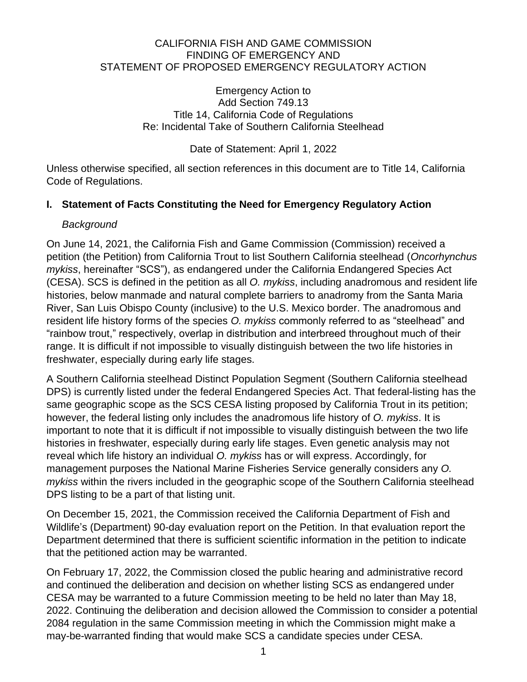#### CALIFORNIA FISH AND GAME COMMISSION FINDING OF EMERGENCY AND STATEMENT OF PROPOSED EMERGENCY REGULATORY ACTION

Emergency Action to Add Section 749.13 Title 14, California Code of Regulations Re: Incidental Take of Southern California Steelhead

Date of Statement: April 1, 2022

Unless otherwise specified, all section references in this document are to Title 14, California Code of Regulations.

### **I. Statement of Facts Constituting the Need for Emergency Regulatory Action**

### *Background*

On June 14, 2021, the California Fish and Game Commission (Commission) received a petition (the Petition) from California Trout to list Southern California steelhead (*Oncorhynchus mykiss*, hereinafter "SCS"), as endangered under the California Endangered Species Act (CESA). SCS is defined in the petition as all *O. mykiss*, including anadromous and resident life histories, below manmade and natural complete barriers to anadromy from the Santa Maria River, San Luis Obispo County (inclusive) to the U.S. Mexico border. The anadromous and resident life history forms of the species *O. mykiss* commonly referred to as "steelhead" and "rainbow trout," respectively, overlap in distribution and interbreed throughout much of their range. It is difficult if not impossible to visually distinguish between the two life histories in freshwater, especially during early life stages.

A Southern California steelhead Distinct Population Segment (Southern California steelhead DPS) is currently listed under the federal Endangered Species Act. That federal-listing has the same geographic scope as the SCS CESA listing proposed by California Trout in its petition; however, the federal listing only includes the anadromous life history of *O. mykiss*. It is important to note that it is difficult if not impossible to visually distinguish between the two life histories in freshwater, especially during early life stages. Even genetic analysis may not reveal which life history an individual *O. mykiss* has or will express. Accordingly, for management purposes the National Marine Fisheries Service generally considers any *O. mykiss* within the rivers included in the geographic scope of the Southern California steelhead DPS listing to be a part of that listing unit.

On December 15, 2021, the Commission received the California Department of Fish and Wildlife's (Department) 90-day evaluation report on the Petition. In that evaluation report the Department determined that there is sufficient scientific information in the petition to indicate that the petitioned action may be warranted.

On February 17, 2022, the Commission closed the public hearing and administrative record and continued the deliberation and decision on whether listing SCS as endangered under CESA may be warranted to a future Commission meeting to be held no later than May 18, 2022. Continuing the deliberation and decision allowed the Commission to consider a potential 2084 regulation in the same Commission meeting in which the Commission might make a may-be-warranted finding that would make SCS a candidate species under CESA.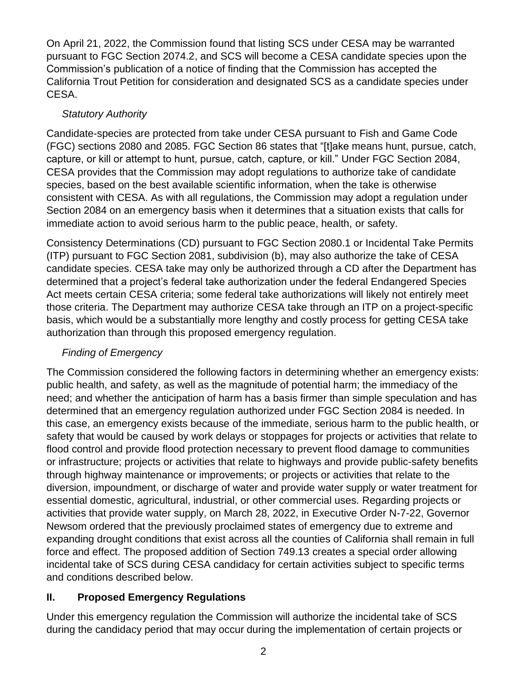On April 21, 2022, the Commission found that listing SCS under CESA may be warranted pursuant to FGC Section 2074.2, and SCS will become a CESA candidate species upon the Commission's publication of a notice of finding that the Commission has accepted the California Trout Petition for consideration and designated SCS as a candidate species under CESA.

## *Statutory Authority*

Candidate-species are protected from take under CESA pursuant to Fish and Game Code (FGC) sections 2080 and 2085. FGC Section 86 states that "[t]ake means hunt, pursue, catch, capture, or kill or attempt to hunt, pursue, catch, capture, or kill." Under FGC Section 2084, CESA provides that the Commission may adopt regulations to authorize take of candidate species, based on the best available scientific information, when the take is otherwise consistent with CESA. As with all regulations, the Commission may adopt a regulation under Section 2084 on an emergency basis when it determines that a situation exists that calls for immediate action to avoid serious harm to the public peace, health, or safety.

Consistency Determinations (CD) pursuant to FGC Section 2080.1 or Incidental Take Permits (ITP) pursuant to FGC Section 2081, subdivision (b), may also authorize the take of CESA candidate species. CESA take may only be authorized through a CD after the Department has determined that a project's federal take authorization under the federal Endangered Species Act meets certain CESA criteria; some federal take authorizations will likely not entirely meet those criteria. The Department may authorize CESA take through an ITP on a project-specific basis, which would be a substantially more lengthy and costly process for getting CESA take authorization than through this proposed emergency regulation.

# *Finding of Emergency*

The Commission considered the following factors in determining whether an emergency exists: public health, and safety, as well as the magnitude of potential harm; the immediacy of the need; and whether the anticipation of harm has a basis firmer than simple speculation and has determined that an emergency regulation authorized under FGC Section 2084 is needed. In this case, an emergency exists because of the immediate, serious harm to the public health, or safety that would be caused by work delays or stoppages for projects or activities that relate to flood control and provide flood protection necessary to prevent flood damage to communities or infrastructure; projects or activities that relate to highways and provide public-safety benefits through highway maintenance or improvements; or projects or activities that relate to the diversion, impoundment, or discharge of water and provide water supply or water treatment for essential domestic, agricultural, industrial, or other commercial uses. Regarding projects or activities that provide water supply, on March 28, 2022, in Executive Order N-7-22, Governor Newsom ordered that the previously proclaimed states of emergency due to extreme and expanding drought conditions that exist across all the counties of California shall remain in full force and effect. The proposed addition of Section 749.13 creates a special order allowing incidental take of SCS during CESA candidacy for certain activities subject to specific terms and conditions described below.

## **II. Proposed Emergency Regulations**

Under this emergency regulation the Commission will authorize the incidental take of SCS during the candidacy period that may occur during the implementation of certain projects or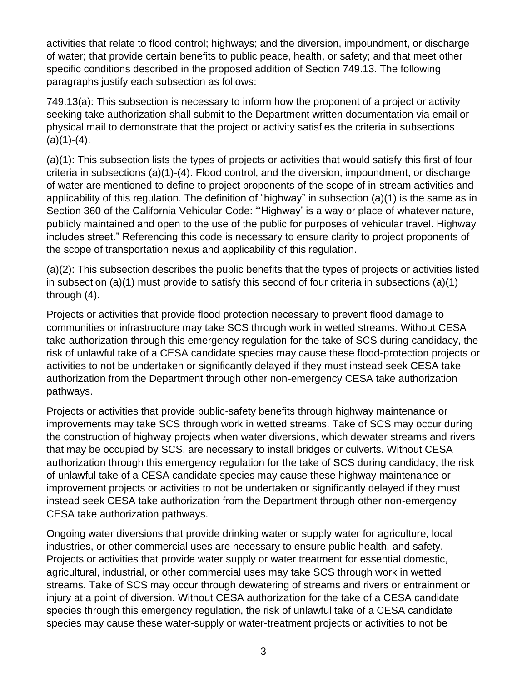activities that relate to flood control; highways; and the diversion, impoundment, or discharge of water; that provide certain benefits to public peace, health, or safety; and that meet other specific conditions described in the proposed addition of Section 749.13. The following paragraphs justify each subsection as follows:

749.13(a): This subsection is necessary to inform how the proponent of a project or activity seeking take authorization shall submit to the Department written documentation via email or physical mail to demonstrate that the project or activity satisfies the criteria in subsections  $(a)(1)-(4)$ .

(a)(1): This subsection lists the types of projects or activities that would satisfy this first of four criteria in subsections (a)(1)-(4). Flood control, and the diversion, impoundment, or discharge of water are mentioned to define to project proponents of the scope of in-stream activities and applicability of this regulation. The definition of "highway" in subsection (a)(1) is the same as in Section 360 of the California Vehicular Code: "'Highway' is a way or place of whatever nature, publicly maintained and open to the use of the public for purposes of vehicular travel. Highway includes street." Referencing this code is necessary to ensure clarity to project proponents of the scope of transportation nexus and applicability of this regulation.

(a)(2): This subsection describes the public benefits that the types of projects or activities listed in subsection (a)(1) must provide to satisfy this second of four criteria in subsections (a)(1) through (4).

Projects or activities that provide flood protection necessary to prevent flood damage to communities or infrastructure may take SCS through work in wetted streams. Without CESA take authorization through this emergency regulation for the take of SCS during candidacy, the risk of unlawful take of a CESA candidate species may cause these flood-protection projects or activities to not be undertaken or significantly delayed if they must instead seek CESA take authorization from the Department through other non-emergency CESA take authorization pathways.

Projects or activities that provide public-safety benefits through highway maintenance or improvements may take SCS through work in wetted streams. Take of SCS may occur during the construction of highway projects when water diversions, which dewater streams and rivers that may be occupied by SCS, are necessary to install bridges or culverts. Without CESA authorization through this emergency regulation for the take of SCS during candidacy, the risk of unlawful take of a CESA candidate species may cause these highway maintenance or improvement projects or activities to not be undertaken or significantly delayed if they must instead seek CESA take authorization from the Department through other non-emergency CESA take authorization pathways.

Ongoing water diversions that provide drinking water or supply water for agriculture, local industries, or other commercial uses are necessary to ensure public health, and safety. Projects or activities that provide water supply or water treatment for essential domestic, agricultural, industrial, or other commercial uses may take SCS through work in wetted streams. Take of SCS may occur through dewatering of streams and rivers or entrainment or injury at a point of diversion. Without CESA authorization for the take of a CESA candidate species through this emergency regulation, the risk of unlawful take of a CESA candidate species may cause these water-supply or water-treatment projects or activities to not be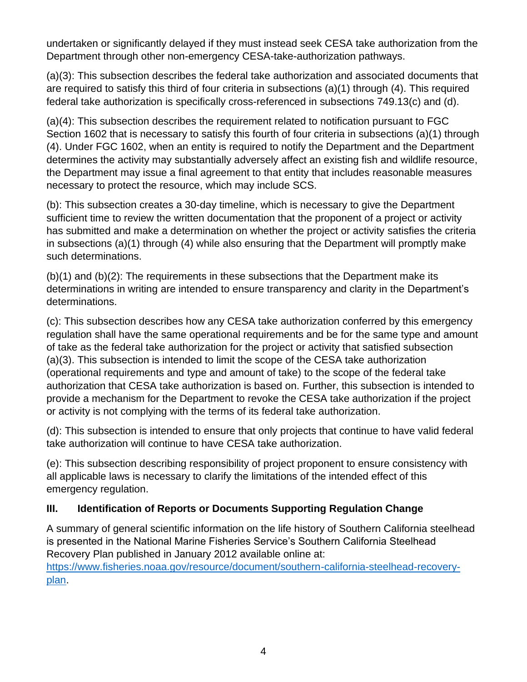undertaken or significantly delayed if they must instead seek CESA take authorization from the Department through other non-emergency CESA-take-authorization pathways.

(a)(3): This subsection describes the federal take authorization and associated documents that are required to satisfy this third of four criteria in subsections (a)(1) through (4). This required federal take authorization is specifically cross-referenced in subsections 749.13(c) and (d).

(a)(4): This subsection describes the requirement related to notification pursuant to FGC Section 1602 that is necessary to satisfy this fourth of four criteria in subsections (a)(1) through (4). Under FGC 1602, when an entity is required to notify the Department and the Department determines the activity may substantially adversely affect an existing fish and wildlife resource, the Department may issue a final agreement to that entity that includes reasonable measures necessary to protect the resource, which may include SCS.

(b): This subsection creates a 30-day timeline, which is necessary to give the Department sufficient time to review the written documentation that the proponent of a project or activity has submitted and make a determination on whether the project or activity satisfies the criteria in subsections (a)(1) through (4) while also ensuring that the Department will promptly make such determinations.

(b)(1) and (b)(2): The requirements in these subsections that the Department make its determinations in writing are intended to ensure transparency and clarity in the Department's determinations.

(c): This subsection describes how any CESA take authorization conferred by this emergency regulation shall have the same operational requirements and be for the same type and amount of take as the federal take authorization for the project or activity that satisfied subsection (a)(3). This subsection is intended to limit the scope of the CESA take authorization (operational requirements and type and amount of take) to the scope of the federal take authorization that CESA take authorization is based on. Further, this subsection is intended to provide a mechanism for the Department to revoke the CESA take authorization if the project or activity is not complying with the terms of its federal take authorization.

(d): This subsection is intended to ensure that only projects that continue to have valid federal take authorization will continue to have CESA take authorization.

(e): This subsection describing responsibility of project proponent to ensure consistency with all applicable laws is necessary to clarify the limitations of the intended effect of this emergency regulation.

## **III. Identification of Reports or Documents Supporting Regulation Change**

A summary of general scientific information on the life history of Southern California steelhead is presented in the National Marine Fisheries Service's Southern California Steelhead Recovery Plan published in January 2012 available online at: [https://www.fisheries.noaa.gov/resource/document/southern-california-steelhead-recovery](https://www.fisheries.noaa.gov/resource/document/southern-california-steelhead-recovery-plan)[plan.](https://www.fisheries.noaa.gov/resource/document/southern-california-steelhead-recovery-plan)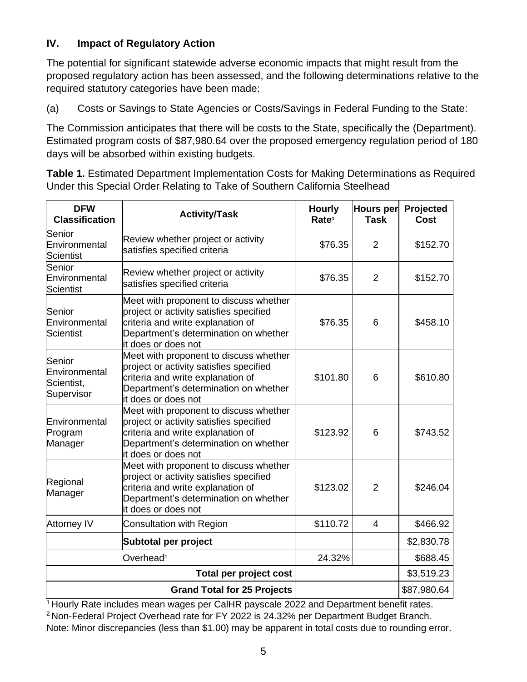### **IV. Impact of Regulatory Action**

The potential for significant statewide adverse economic impacts that might result from the proposed regulatory action has been assessed, and the following determinations relative to the required statutory categories have been made:

(a) Costs or Savings to State Agencies or Costs/Savings in Federal Funding to the State:

The Commission anticipates that there will be costs to the State, specifically the (Department). Estimated program costs of \$87,980.64 over the proposed emergency regulation period of 180 days will be absorbed within existing budgets.

**Table 1.** Estimated Department Implementation Costs for Making Determinations as Required Under this Special Order Relating to Take of Southern California Steelhead

| <b>DFW</b><br><b>Classification</b>                 | <b>Activity/Task</b>                                                                                                                                                                   | <b>Hourly</b><br>Rate <sup>1</sup> | Hours per<br><b>Task</b> | Projected<br>Cost |
|-----------------------------------------------------|----------------------------------------------------------------------------------------------------------------------------------------------------------------------------------------|------------------------------------|--------------------------|-------------------|
| Senior<br>Environmental<br><b>Scientist</b>         | Review whether project or activity<br>satisfies specified criteria                                                                                                                     | \$76.35                            | $\overline{2}$           | \$152.70          |
| Senior<br>Environmental<br><b>Scientist</b>         | Review whether project or activity<br>satisfies specified criteria                                                                                                                     | \$76.35                            | $\overline{2}$           | \$152.70          |
| Senior<br>Environmental<br><b>Scientist</b>         | Meet with proponent to discuss whether<br>project or activity satisfies specified<br>criteria and write explanation of<br>Department's determination on whether<br>it does or does not | \$76.35                            | 6                        | \$458.10          |
| Senior<br>Environmental<br>Scientist,<br>Supervisor | Meet with proponent to discuss whether<br>project or activity satisfies specified<br>criteria and write explanation of<br>Department's determination on whether<br>it does or does not | \$101.80                           | 6                        | \$610.80          |
| Environmental<br>Program<br>Manager                 | Meet with proponent to discuss whether<br>project or activity satisfies specified<br>criteria and write explanation of<br>Department's determination on whether<br>it does or does not | \$123.92                           | 6                        | \$743.52          |
| Regional<br>Manager                                 | Meet with proponent to discuss whether<br>project or activity satisfies specified<br>criteria and write explanation of<br>Department's determination on whether<br>it does or does not | \$123.02                           | $\overline{2}$           | \$246.04          |
| <b>Attorney IV</b>                                  | <b>Consultation with Region</b>                                                                                                                                                        | \$110.72                           | 4                        | \$466.92          |
|                                                     | Subtotal per project                                                                                                                                                                   |                                    |                          | \$2,830.78        |
| Overhead <sup>2</sup>                               |                                                                                                                                                                                        | 24.32%                             |                          | \$688.45          |
| <b>Total per project cost</b>                       |                                                                                                                                                                                        |                                    |                          | \$3,519.23        |
| <b>Grand Total for 25 Projects</b>                  |                                                                                                                                                                                        |                                    |                          | \$87,980.64       |

<sup>1</sup> Hourly Rate includes mean wages per CalHR payscale 2022 and Department benefit rates.

<sup>2</sup> Non-Federal Project Overhead rate for FY 2022 is 24.32% per Department Budget Branch.

Note: Minor discrepancies (less than \$1.00) may be apparent in total costs due to rounding error.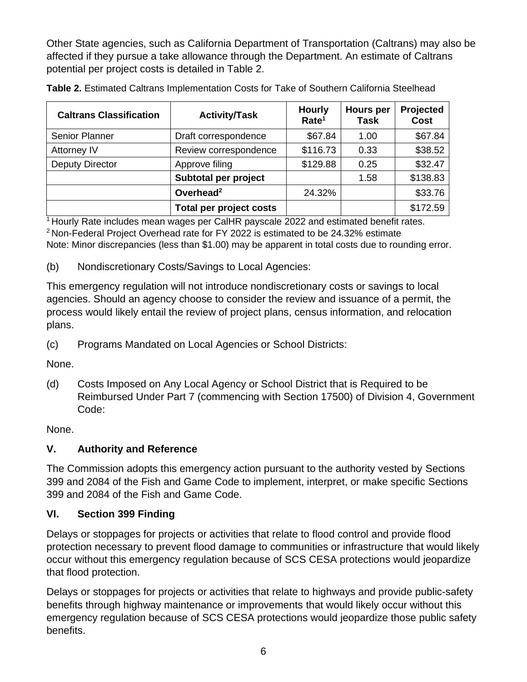Other State agencies, such as California Department of Transportation (Caltrans) may also be affected if they pursue a take allowance through the Department. An estimate of Caltrans potential per project costs is detailed in Table 2.

| <b>Caltrans Classification</b> | <b>Activity/Task</b>           | <b>Hourly</b><br>Rate <sup>1</sup> | <b>Hours per</b><br><b>Task</b> | Projected<br><b>Cost</b> |
|--------------------------------|--------------------------------|------------------------------------|---------------------------------|--------------------------|
| <b>Senior Planner</b>          | Draft correspondence           | \$67.84                            | 1.00                            | \$67.84                  |
| Attorney IV                    | Review correspondence          | \$116.73                           | 0.33                            | \$38.52                  |
| <b>Deputy Director</b>         | Approve filing                 | \$129.88                           | 0.25                            | \$32.47                  |
|                                | Subtotal per project           |                                    | 1.58                            | \$138.83                 |
|                                | Overhead <sup>2</sup>          | 24.32%                             |                                 | \$33.76                  |
|                                | <b>Total per project costs</b> |                                    |                                 | \$172.59                 |

**Table 2.** Estimated Caltrans Implementation Costs for Take of Southern California Steelhead

<sup>1</sup> Hourly Rate includes mean wages per CalHR payscale 2022 and estimated benefit rates. <sup>2</sup> Non-Federal Project Overhead rate for FY 2022 is estimated to be 24.32% estimate Note: Minor discrepancies (less than \$1.00) may be apparent in total costs due to rounding error.

(b) Nondiscretionary Costs/Savings to Local Agencies:

This emergency regulation will not introduce nondiscretionary costs or savings to local agencies. Should an agency choose to consider the review and issuance of a permit, the process would likely entail the review of project plans, census information, and relocation plans.

(c) Programs Mandated on Local Agencies or School Districts:

None.

(d) Costs Imposed on Any Local Agency or School District that is Required to be Reimbursed Under Part 7 (commencing with Section 17500) of Division 4, Government Code:

None.

# **V. Authority and Reference**

The Commission adopts this emergency action pursuant to the authority vested by Sections 399 and 2084 of the Fish and Game Code to implement, interpret, or make specific Sections 399 and 2084 of the Fish and Game Code.

# **VI. Section 399 Finding**

Delays or stoppages for projects or activities that relate to flood control and provide flood protection necessary to prevent flood damage to communities or infrastructure that would likely occur without this emergency regulation because of SCS CESA protections would jeopardize that flood protection.

Delays or stoppages for projects or activities that relate to highways and provide public-safety benefits through highway maintenance or improvements that would likely occur without this emergency regulation because of SCS CESA protections would jeopardize those public safety benefits.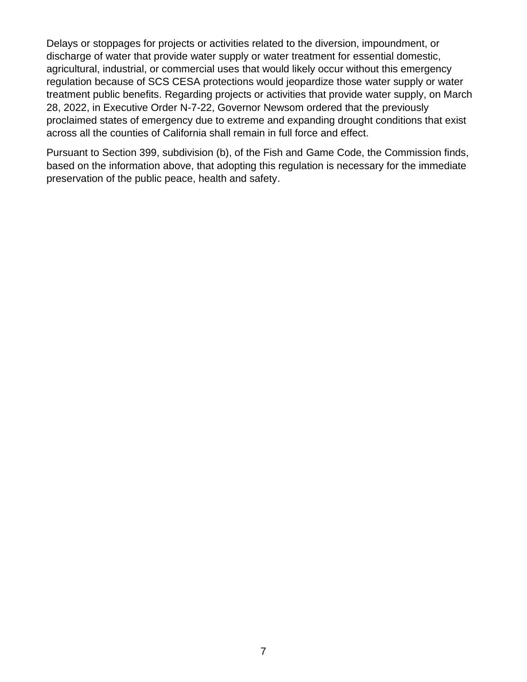Delays or stoppages for projects or activities related to the diversion, impoundment, or discharge of water that provide water supply or water treatment for essential domestic, agricultural, industrial, or commercial uses that would likely occur without this emergency regulation because of SCS CESA protections would jeopardize those water supply or water treatment public benefits. Regarding projects or activities that provide water supply, on March 28, 2022, in Executive Order N-7-22, Governor Newsom ordered that the previously proclaimed states of emergency due to extreme and expanding drought conditions that exist across all the counties of California shall remain in full force and effect.

Pursuant to Section 399, subdivision (b), of the Fish and Game Code, the Commission finds, based on the information above, that adopting this regulation is necessary for the immediate preservation of the public peace, health and safety.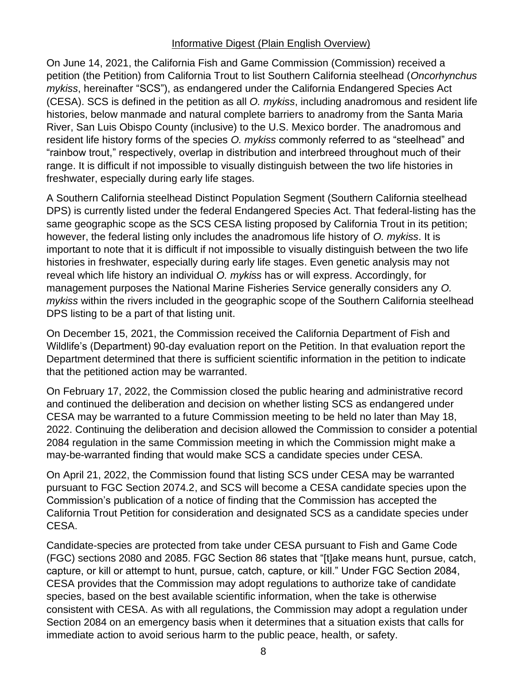### Informative Digest (Plain English Overview)

On June 14, 2021, the California Fish and Game Commission (Commission) received a petition (the Petition) from California Trout to list Southern California steelhead (*Oncorhynchus mykiss*, hereinafter "SCS"), as endangered under the California Endangered Species Act (CESA). SCS is defined in the petition as all *O. mykiss*, including anadromous and resident life histories, below manmade and natural complete barriers to anadromy from the Santa Maria River, San Luis Obispo County (inclusive) to the U.S. Mexico border. The anadromous and resident life history forms of the species *O. mykiss* commonly referred to as "steelhead" and "rainbow trout," respectively, overlap in distribution and interbreed throughout much of their range. It is difficult if not impossible to visually distinguish between the two life histories in freshwater, especially during early life stages.

A Southern California steelhead Distinct Population Segment (Southern California steelhead DPS) is currently listed under the federal Endangered Species Act. That federal-listing has the same geographic scope as the SCS CESA listing proposed by California Trout in its petition; however, the federal listing only includes the anadromous life history of *O. mykiss*. It is important to note that it is difficult if not impossible to visually distinguish between the two life histories in freshwater, especially during early life stages. Even genetic analysis may not reveal which life history an individual *O. mykiss* has or will express. Accordingly, for management purposes the National Marine Fisheries Service generally considers any *O. mykiss* within the rivers included in the geographic scope of the Southern California steelhead DPS listing to be a part of that listing unit.

On December 15, 2021, the Commission received the California Department of Fish and Wildlife's (Department) 90-day evaluation report on the Petition. In that evaluation report the Department determined that there is sufficient scientific information in the petition to indicate that the petitioned action may be warranted.

On February 17, 2022, the Commission closed the public hearing and administrative record and continued the deliberation and decision on whether listing SCS as endangered under CESA may be warranted to a future Commission meeting to be held no later than May 18, 2022. Continuing the deliberation and decision allowed the Commission to consider a potential 2084 regulation in the same Commission meeting in which the Commission might make a may-be-warranted finding that would make SCS a candidate species under CESA.

On April 21, 2022, the Commission found that listing SCS under CESA may be warranted pursuant to FGC Section 2074.2, and SCS will become a CESA candidate species upon the Commission's publication of a notice of finding that the Commission has accepted the California Trout Petition for consideration and designated SCS as a candidate species under CESA.

Candidate-species are protected from take under CESA pursuant to Fish and Game Code (FGC) sections 2080 and 2085. FGC Section 86 states that "[t]ake means hunt, pursue, catch, capture, or kill or attempt to hunt, pursue, catch, capture, or kill." Under FGC Section 2084, CESA provides that the Commission may adopt regulations to authorize take of candidate species, based on the best available scientific information, when the take is otherwise consistent with CESA. As with all regulations, the Commission may adopt a regulation under Section 2084 on an emergency basis when it determines that a situation exists that calls for immediate action to avoid serious harm to the public peace, health, or safety.